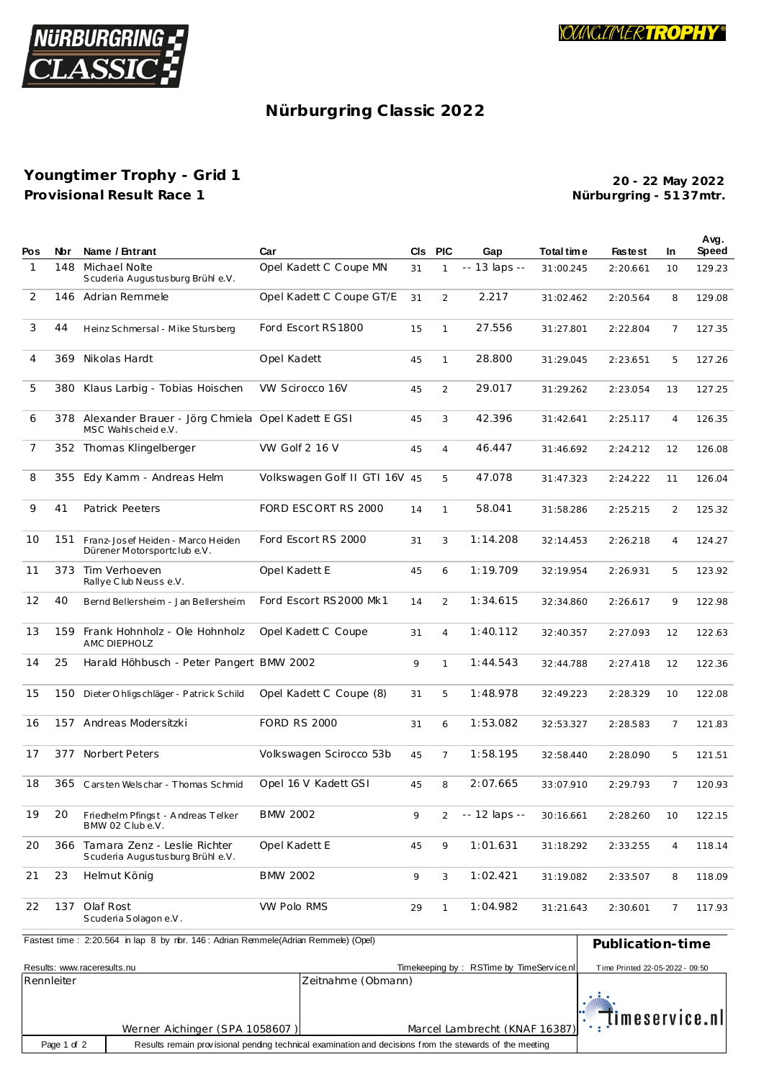

## Nürburgring Classic 2022

## Youngtimer Trophy - Grid 1 Provisional Result Race 1

20 - 22 May 2022 Nürburgring - 5137mtr.

|              |     |                                                                             |                               |    |                |               |            |                |                | Avg.   |
|--------------|-----|-----------------------------------------------------------------------------|-------------------------------|----|----------------|---------------|------------|----------------|----------------|--------|
| Pos          | Nbr | Name / Entrant                                                              | Car                           |    | CIS PIC        | Gap           | Total time | <b>Fastest</b> | In.            | Speed  |
| $\mathbf{1}$ | 148 | Michael Nolte<br>Scuderia Augustusburg Brühl e.V.                           | Opel Kadett C Coupe MN        | 31 | $\mathbf{1}$   | -- 13 laps -- | 31:00.245  | 2:20.661       | 10             | 129.23 |
| 2            |     | 146 Adrian Remmele                                                          | Opel Kadett C Coupe GT/E      | 31 | $\overline{2}$ | 2.217         | 31:02.462  | 2:20.564       | 8              | 129.08 |
| 3            | 44  | Heinz Schmersal - Mike Stursberg                                            | Ford Escort RS1800            | 15 | $\mathbf{1}$   | 27.556        | 31:27.801  | 2:22.804       | 7              | 127.35 |
| 4            | 369 | Nikolas Hardt                                                               | Opel Kadett                   | 45 | $\mathbf{1}$   | 28.800        | 31:29.045  | 2:23.651       | 5              | 127.26 |
| 5            | 380 | Klaus Larbig - Tobias Hoischen                                              | <b>VW Scirocco 16V</b>        | 45 | 2              | 29.017        | 31:29.262  | 2:23.054       | 13             | 127.25 |
| 6            |     | 378 Alexander Brauer - Jörg Chmiela Opel Kadett E GSI<br>MSC Wahlscheide.V. |                               | 45 | 3              | 42.396        | 31:42.641  | 2:25.117       | 4              | 126.35 |
| 7            |     | 352 Thomas Klingelberger                                                    | VW Golf 2 16 V                | 45 | $\overline{4}$ | 46.447        | 31:46.692  | 2:24.212       | 12             | 126.08 |
| 8            | 355 | Edy Kamm - Andreas Helm                                                     | Volkswagen Golf II GTI 16V 45 |    | 5              | 47.078        | 31:47.323  | 2:24.222       | 11             | 126.04 |
| 9            | 41  | Patrick Peeters                                                             | FORD ESCORT RS 2000           | 14 | $\mathbf{1}$   | 58.041        | 31:58.286  | 2:25.215       | 2              | 125.32 |
| 10           | 151 | Franz-Josef Heiden - Marco Heiden<br>Dürener Motorsportclub e.V.            | Ford Escort RS 2000           | 31 | 3              | 1:14.208      | 32:14.453  | 2:26.218       | $\overline{4}$ | 124.27 |
| 11           | 373 | Tim Verhoeven<br>Rallye Club Neusse.V.                                      | Opel Kadett E                 | 45 | 6              | 1:19.709      | 32:19.954  | 2:26.931       | 5              | 123.92 |
| 12           | 40  | Bernd Bellersheim - Jan Bellersheim                                         | Ford Escort RS2000 Mk1        | 14 | 2              | 1:34.615      | 32:34.860  | 2:26.617       | 9              | 122.98 |
| 13           | 159 | Frank Hohnholz - Ole Hohnholz<br>AMC DIEPHOLZ                               | Opel Kadett C Coupe           | 31 | $\overline{4}$ | 1:40.112      | 32:40.357  | 2:27.093       | 12             | 122.63 |
| 14           | 25  | Harald Höhbusch - Peter Pangert BMW 2002                                    |                               | 9  | $\mathbf{1}$   | 1:44.543      | 32:44.788  | 2:27.418       | 12             | 122.36 |
| 15           | 150 | Dieter O hligschläger - Patrick Schild                                      | Opel Kadett C Coupe (8)       | 31 | 5              | 1:48.978      | 32:49.223  | 2:28.329       | 10             | 122.08 |
| 16           |     | 157 Andreas Modersitzki                                                     | <b>FORD RS 2000</b>           | 31 | 6              | 1:53.082      | 32:53.327  | 2:28.583       | 7              | 121.83 |
| 17           | 377 | Norbert Peters                                                              | Volkswagen Scirocco 53b       | 45 | $\overline{7}$ | 1:58.195      | 32:58.440  | 2:28.090       | 5              | 121.51 |
| 18           |     | 365 Carsten Welschar - Thomas Schmid                                        | Opel 16 V Kadett GSI          | 45 | 8              | 2:07.665      | 33:07.910  | 2:29.793       | 7              | 120.93 |
| 19           | 20  | Friedhelm Pfingst - Andreas Telker<br>BMW 02 Clube.V.                       | <b>BMW 2002</b>               | 9  |                | -- 12 laps -- | 30:16.661  | 2:28.260       | 10             | 122.15 |
| 20           | 366 | Tamara Zenz - Leslie Richter<br>Scuderia Augustusburg Brühl e.V.            | Opel Kadett E                 | 45 | 9              | 1:01.631      | 31:18.292  | 2:33.255       | 4              | 118.14 |
| 21           | 23  | Helmut König                                                                | <b>BMW 2002</b>               | 9  | 3              | 1:02.421      | 31:19.082  | 2:33.507       | 8              | 118.09 |
| 22           | 137 | Olaf Rost<br>Scuderia Solagon e.V.                                          | <b>VW Polo RMS</b>            | 29 | 1              | 1:04.982      | 31:21.643  | 2:30.601       | 7              | 117.93 |

| Fastest time: 2:20.564 in lap 8 by rbr. 146: Adrian Remmele(Adrian Remmele) (Opel) | Publication-time               |                                                                                                         |                                 |
|------------------------------------------------------------------------------------|--------------------------------|---------------------------------------------------------------------------------------------------------|---------------------------------|
| Results: www.raceresults.nu                                                        |                                | Timekeeping by: RSTime by TimeService.nl                                                                | Time Printed 22-05-2022 - 09:50 |
| Rennleiter                                                                         |                                | Zeitnahme (Obmann)                                                                                      |                                 |
|                                                                                    | Werner Aichinger (SPA 1058607) |                                                                                                         |                                 |
| Page 1 of 2                                                                        |                                | Results remain provisional pending technical examination and decisions from the stewards of the meeting |                                 |